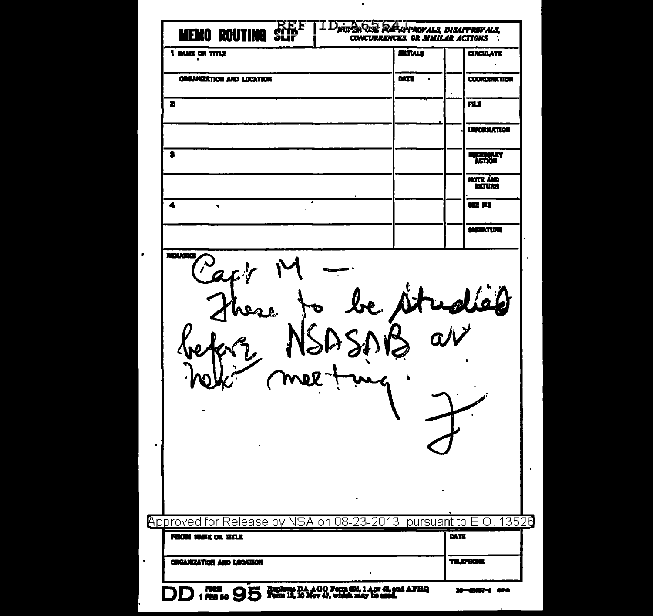| 1 HAME OR TITLE                                                  | <b>UNTIALS</b>                | <b>CIRCULATE</b><br>×     |
|------------------------------------------------------------------|-------------------------------|---------------------------|
| ORGANIZATION AND LOCATION                                        | <b>DATE</b><br>$\blacksquare$ | <b>COORDINATION</b>       |
| 2                                                                |                               | <b>FILE</b>               |
|                                                                  |                               | <b>ULFORMATION</b>        |
| з                                                                |                               | HUCKHARY<br><b>ACTION</b> |
|                                                                  |                               | HOTE AND<br>RETURN        |
| 4<br>Ñ,                                                          |                               | SIE KE                    |
|                                                                  |                               | <b>SIGNATURE</b>          |
|                                                                  | $x^2$                         | 8 any                     |
|                                                                  |                               |                           |
| Approved for Release by NSA on 08-23-2013 pursuant to E.O. 13526 |                               |                           |
| <b>FROM NAME OR TITLE</b>                                        |                               | <b>DATE</b>               |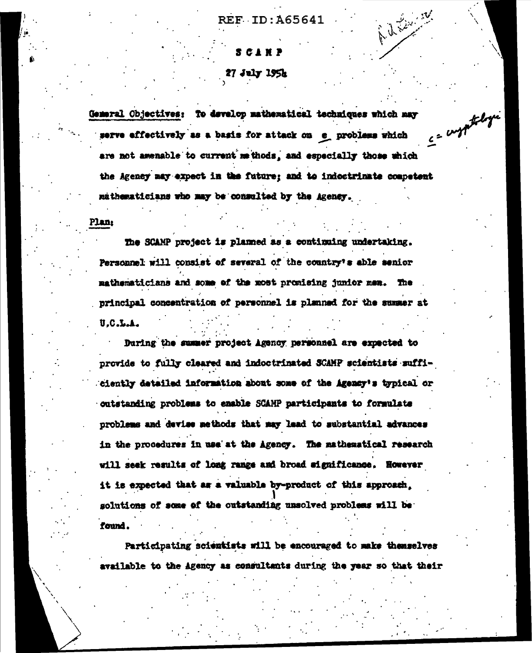## **REF ID: 465641**

Address 12

## 27 July 1954

S CAN P

C= comptulation General Objectives: To develop mathematical techniques which may serve effectively as a basis for attack on e problems which are not amenable to current methods, and especially those which the Ageney may expect in the future; and to indoctrinate competent mathematicians who may be consulted by the Ageney.

Plan:

The SCAMP project is planned as a continuing undertaking. Personnel will consist of several of the country's able senior mathematicians and some of the most promising junior men. The principal concentration of personnel is planned for the summer at  $U.C.L.A.$ 

During the summer project Agency personnel are expected to provide to fully cleared and indoctrinated SCAMP scientists sufficiently detailed information about some of the Agency's typical or outstanding problems to enable SCANP participants to formulate problems and devise methods that may lead to substantial advances in the procedures in use at the Agency. The mathematical research will seek results of long range and broad significance. However it is expected that as a valuable by-product of this approach. solutions of some of the outstanding unsolved problems will be found.

Participating scientists will be encouraged to make themselves available to the Agency as consultants during the year so that their